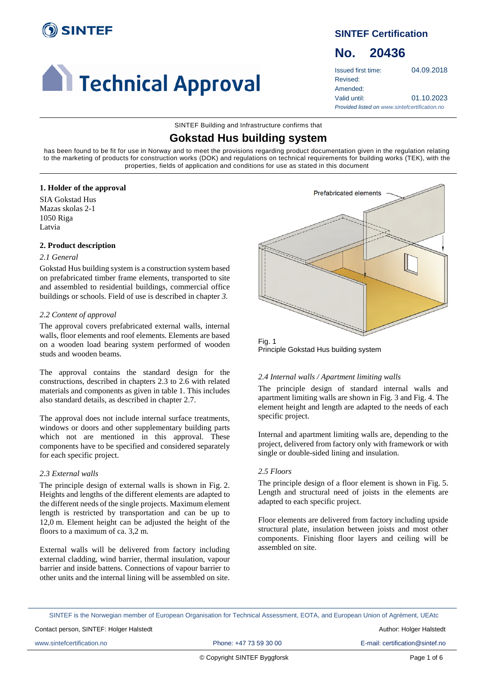

# **Confidence 1 Technical Approval**

# **SINTEF Certification**

# **No. 20436**

Issued first time: 04.09.2018 Revised: Amended: Valid until: 01.10.2023 *Provided listed on www.sintefcertification.no*

SINTEF Building and Infrastructure confirms that

# **Gokstad Hus building system**

has been found to be fit for use in Norway and to meet the provisions regarding product documentation given in the regulation relating to the marketing of products for construction works (DOK) and regulations on technical requirements for building works (TEK), with the properties, fields of application and conditions for use as stated in this document

# **1. Holder of the approval**

SIA Gokstad Hus Mazas skolas 2-1 1050 Riga Latvia

# **2. Product description**

# *2.1 General*

Gokstad Hus building system is a construction system based on prefabricated timber frame elements, transported to site and assembled to residential buildings, commercial office buildings or schools. Field of use is described in chapter *3.*

# *2.2 Content of approval*

The approval covers prefabricated external walls, internal walls, floor elements and roof elements. Elements are based on a wooden load bearing system performed of wooden studs and wooden beams.

The approval contains the standard design for the constructions, described in chapters 2.3 to 2.6 with related materials and components as given in table 1. This includes also standard details, as described in chapter 2.7.

The approval does not include internal surface treatments, windows or doors and other supplementary building parts which not are mentioned in this approval. These components have to be specified and considered separately for each specific project.

# *2.3 External walls*

The principle design of external walls is shown in Fig. 2. Heights and lengths of the different elements are adapted to the different needs of the single projects. Maximum element length is restricted by transportation and can be up to 12,0 m. Element height can be adjusted the height of the floors to a maximum of ca. 3,2 m.

External walls will be delivered from factory including external cladding, wind barrier, thermal insulation, vapour barrier and inside battens. Connections of vapour barrier to other units and the internal lining will be assembled on site.



Fig. 1 Principle Gokstad Hus building system

# *2.4 Internal walls / Apartment limiting walls*

The principle design of standard internal walls and apartment limiting walls are shown in Fig. 3 and Fig. 4. The element height and length are adapted to the needs of each specific project.

Internal and apartment limiting walls are, depending to the project, delivered from factory only with framework or with single or double-sided lining and insulation.

# *2.5 Floors*

The principle design of a floor element is shown in Fig. 5. Length and structural need of joists in the elements are adapted to each specific project.

Floor elements are delivered from factory including upside structural plate, insulation between joists and most other components. Finishing floor layers and ceiling will be assembled on site.

SINTEF is the Norwegian member of European Organisation for Technical Assessment, EOTA, and European Union of Agrément, UEAtc

www.sintefcertification.no **Phone: +47 73 59 30 00** E-mail: certification@sintef.no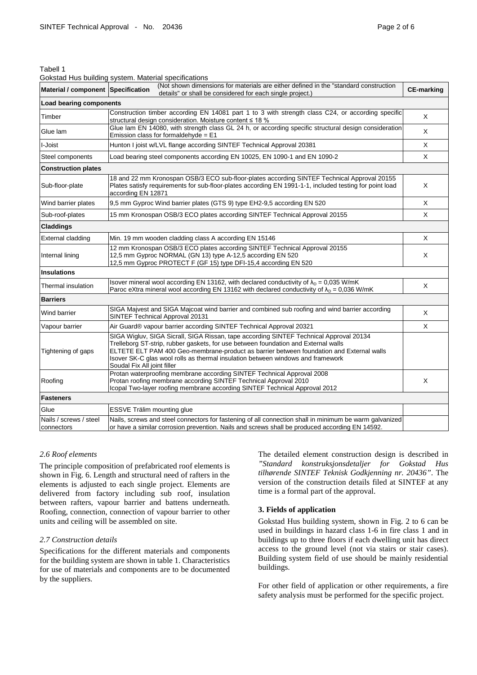| Ⅱ<br>∼<br>11 |
|--------------|
|--------------|

#### Gokstad Hus building system. Material specifications

| Material / component Specification   | (Not shown dimensions for materials are either defined in the "standard construction<br>details" or shall be considered for each single project.)                                                                                                                                                                                                                                          | <b>CE-marking</b> |  |
|--------------------------------------|--------------------------------------------------------------------------------------------------------------------------------------------------------------------------------------------------------------------------------------------------------------------------------------------------------------------------------------------------------------------------------------------|-------------------|--|
| Load bearing components              |                                                                                                                                                                                                                                                                                                                                                                                            |                   |  |
| Timber                               | Construction timber according EN 14081 part 1 to 3 with strength class C24, or according specific<br>structural design consideration. Moisture content ≤ 18 %                                                                                                                                                                                                                              |                   |  |
| Glue lam                             | Glue lam EN 14080, with strength class GL 24 h, or according specific structural design consideration<br>Emission class for formaldehyde = $E1$                                                                                                                                                                                                                                            | X                 |  |
| I-Joist                              | Hunton I joist w/LVL flange according SINTEF Technical Approval 20381                                                                                                                                                                                                                                                                                                                      | X                 |  |
| Steel components                     | Load bearing steel components according EN 10025, EN 1090-1 and EN 1090-2                                                                                                                                                                                                                                                                                                                  | X                 |  |
| <b>Construction plates</b>           |                                                                                                                                                                                                                                                                                                                                                                                            |                   |  |
| Sub-floor-plate                      | 18 and 22 mm Kronospan OSB/3 ECO sub-floor-plates according SINTEF Technical Approval 20155<br>Plates satisfy requirements for sub-floor-plates according EN 1991-1-1, included testing for point load<br>according EN 12871                                                                                                                                                               | X                 |  |
| Wind barrier plates                  | 9,5 mm Gyproc Wind barrier plates (GTS 9) type EH2-9,5 according EN 520                                                                                                                                                                                                                                                                                                                    | X                 |  |
| Sub-roof-plates                      | 15 mm Kronospan OSB/3 ECO plates according SINTEF Technical Approval 20155                                                                                                                                                                                                                                                                                                                 | X                 |  |
| <b>Claddings</b>                     |                                                                                                                                                                                                                                                                                                                                                                                            |                   |  |
| External cladding                    | Min. 19 mm wooden cladding class A according EN 15146                                                                                                                                                                                                                                                                                                                                      | X                 |  |
| Internal lining                      | 12 mm Kronospan OSB/3 ECO plates according SINTEF Technical Approval 20155<br>12,5 mm Gyproc NORMAL (GN 13) type A-12,5 according EN 520<br>12,5 mm Gyproc PROTECT F (GF 15) type DFI-15,4 according EN 520                                                                                                                                                                                | X                 |  |
| <b>Insulations</b>                   |                                                                                                                                                                                                                                                                                                                                                                                            |                   |  |
| Thermal insulation                   | Isover mineral wool according EN 13162, with declared conductivity of $\lambda_D = 0.035$ W/mK<br>Paroc eXtra mineral wool according EN 13162 with declared conductivity of $\lambda_D = 0.036$ W/mK                                                                                                                                                                                       | X                 |  |
| <b>Barriers</b>                      |                                                                                                                                                                                                                                                                                                                                                                                            |                   |  |
| Wind barrier                         | SIGA Majvest and SIGA Majcoat wind barrier and combined sub roofing and wind barrier according<br>SINTEF Technical Approval 20131                                                                                                                                                                                                                                                          | X                 |  |
| Vapour barrier                       | Air Guard® vapour barrier according SINTEF Technical Approval 20321                                                                                                                                                                                                                                                                                                                        | X                 |  |
| Tightening of gaps                   | SIGA Wigluv, SIGA Sicrall, SIGA Rissan, tape according SINTEF Technical Approval 20134<br>Trelleborg ST-strip, rubber gaskets, for use between foundation and External walls<br>ELTETE ELT PAM 400 Geo-membrane-product as barrier between foundation and External walls<br>Isover SK-C glas wool rolls as thermal insulation between windows and framework<br>Soudal Fix All joint filler |                   |  |
| Roofing                              | Protan waterproofing membrane according SINTEF Technical Approval 2008<br>Protan roofing membrane according SINTEF Technical Approval 2010<br>Icopal Two-layer roofing membrane according SINTEF Technical Approval 2012                                                                                                                                                                   | X                 |  |
| <b>Fasteners</b>                     |                                                                                                                                                                                                                                                                                                                                                                                            |                   |  |
| Glue                                 | ESSVE Trälim mounting glue                                                                                                                                                                                                                                                                                                                                                                 |                   |  |
| Nails / screws / steel<br>connectors | Nails, screws and steel connectors for fastening of all connection shall in minimum be warm galvanized<br>or have a similar corrosion prevention. Nails and screws shall be produced according EN 14592.                                                                                                                                                                                   |                   |  |

#### *2.6 Roof elements*

The principle composition of prefabricated roof elements is shown in Fig. 6. Length and structural need of rafters in the elements is adjusted to each single project. Elements are delivered from factory including sub roof, insulation between rafters, vapour barrier and battens underneath. Roofing, connection, connection of vapour barrier to other units and ceiling will be assembled on site.

#### *2.7 Construction details*

Specifications for the different materials and components for the building system are shown in table 1. Characteristics for use of materials and components are to be documented by the suppliers.

The detailed element construction design is described in *"Standard konstruksjonsdetaljer for Gokstad Hus tilhørende SINTEF Teknisk Godkjenning nr. 20436"*. The version of the construction details filed at SINTEF at any time is a formal part of the approval.

#### **3. Fields of application**

Gokstad Hus building system, shown in Fig. 2 to 6 can be used in buildings in hazard class 1-6 in fire class 1 and in buildings up to three floors if each dwelling unit has direct access to the ground level (not via stairs or stair cases). Building system field of use should be mainly residential buildings.

For other field of application or other requirements, a fire safety analysis must be performed for the specific project.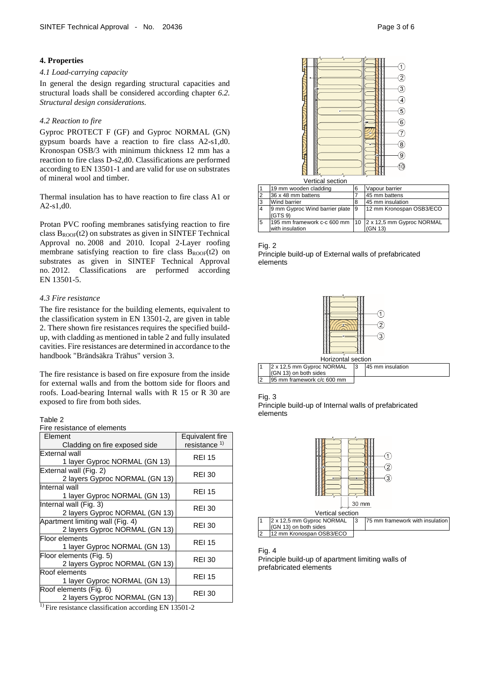#### **4. Properties**

#### *4.1 Load-carrying capacity*

In general the design regarding structural capacities and structural loads shall be considered according chapter *6.2. Structural design considerations.*

#### *4.2 Reaction to fire*

Gyproc PROTECT F (GF) and Gyproc NORMAL (GN) gypsum boards have a reaction to fire class A2-s1,d0. Kronospan OSB/3 with minimum thickness 12 mm has a reaction to fire class D-s2,d0. Classifications are performed according to EN 13501-1 and are valid for use on substrates of mineral wool and timber.

Thermal insulation has to have reaction to fire class A1 or A2-s1,d0.

Protan PVC roofing membranes satisfying reaction to fire class  $B_{\text{ROOF}}(t2)$  on substrates as given in SINTEF Technical Approval no. 2008 and 2010. Icopal 2-Layer roofing membrane satisfying reaction to fire class  $B_{ROOF}(t2)$  on substrates as given in SINTEF Technical Approval no. 2012. Classifications are performed according EN 13501-5.

# *4.3 Fire resistance*

The fire resistance for the building elements, equivalent to the classification system in EN 13501-2, are given in table 2. There shown fire resistances requires the specified buildup, with cladding as mentioned in table 2 and fully insulated cavities. Fire resistances are determined in accordance to the handbook "Brändsäkra Trähus" version 3.

The fire resistance is based on fire exposure from the inside for external walls and from the bottom side for floors and roofs. Load-bearing Internal walls with R 15 or R 30 are exposed to fire from both sides.

# Table 2

Fire resistance of elements

| Element                          | Equivalent fire          |
|----------------------------------|--------------------------|
| Cladding on fire exposed side    | resistance <sup>1)</sup> |
| External wall                    | <b>REI 15</b>            |
| 1 layer Gyproc NORMAL (GN 13)    |                          |
| External wall (Fig. 2)           | <b>REI 30</b>            |
| 2 layers Gyproc NORMAL (GN 13)   |                          |
| Internal wall                    | <b>REI 15</b>            |
| 1 layer Gyproc NORMAL (GN 13)    |                          |
| Internal wall (Fig. 3)           | <b>REI 30</b>            |
| 2 layers Gyproc NORMAL (GN 13)   |                          |
| Apartment limiting wall (Fig. 4) | <b>REI 30</b>            |
| 2 layers Gyproc NORMAL (GN 13)   |                          |
| Floor elements                   | <b>REI 15</b>            |
| 1 layer Gyproc NORMAL (GN 13)    |                          |
| Floor elements (Fig. 5)          | <b>REI 30</b>            |
| 2 layers Gyproc NORMAL (GN 13)   |                          |
| Roof elements                    | <b>REI 15</b>            |
| 1 layer Gyproc NORMAL (GN 13)    |                          |
| Roof elements (Fig. 6)           | <b>REI 30</b>            |
| 2 layers Gyproc NORMAL (GN 13)   |                          |

 $<sup>1</sup>$  Fire resistance classification according EN 13501-2</sup>



|    | 19 mm wooden cladding                                                           | 6 | Vapour barrier           |
|----|---------------------------------------------------------------------------------|---|--------------------------|
|    | 36 x 48 mm battens                                                              |   | 45 mm battens            |
|    | <b>Wind barrier</b>                                                             |   | 45 mm insulation         |
|    | 9 mm Gyproc Wind barrier plate 9<br>(GTS 9)                                     |   | 12 mm Kronospan OSB3/ECO |
| 15 | 195 mm framework c-c 600 mm   10   2 x 12,5 mm Gyproc NORMAL<br>with insulation |   | (GN 13)                  |

Fig. 2

Principle build-up of External walls of prefabricated elements



| Horizontal section |                             |    |                  |
|--------------------|-----------------------------|----|------------------|
|                    | 2 x 12,5 mm Gyproc NORMAL   | 13 | 45 mm insulation |
|                    | I(GN 13) on both sides      |    |                  |
|                    | 195 mm framework c/c 600 mm |    |                  |



Principle build-up of Internal walls of prefabricated elements



#### Fig. 4

Principle build-up of apartment limiting walls of prefabricated elements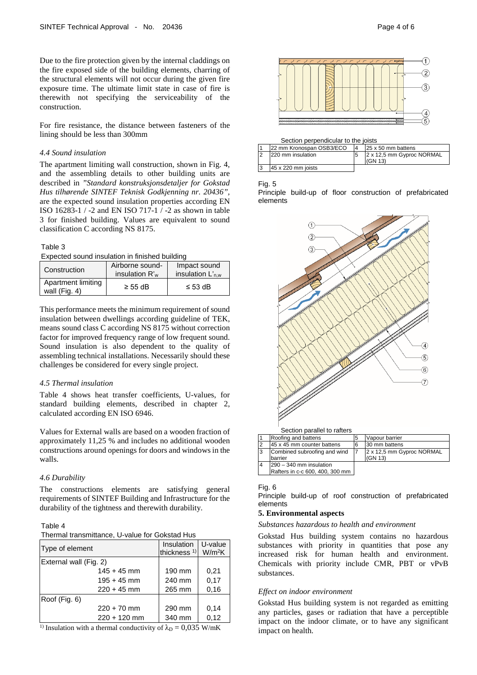Due to the fire protection given by the internal claddings on the fire exposed side of the building elements, charring of the structural elements will not occur during the given fire exposure time. The ultimate limit state in case of fire is therewith not specifying the serviceability of the construction.

For fire resistance, the distance between fasteners of the lining should be less than 300mm

## *4.4 Sound insulation*

The apartment limiting wall construction, shown in Fig. 4, and the assembling details to other building units are described in *"Standard konstruksjonsdetaljer for Gokstad Hus tilhørende SINTEF Teknisk Godkjenning nr. 20436",* are the expected sound insulation properties according EN ISO 16283-1 / -2 and EN ISO 717-1 / -2 as shown in table 3 for finished building. Values are equivalent to sound classification C according NS 8175.

#### Table 3

Expected sound insulation in finished building

| Construction                          | Airborne sound-<br>insulation R' <sub>w</sub> | Impact sound<br>insulation $L_{\text{n.w}}$ |  |
|---------------------------------------|-----------------------------------------------|---------------------------------------------|--|
| Apartment limiting<br>wall $(Fiq. 4)$ | $\geq$ 55 dB                                  | $\leq$ 53 dB                                |  |

This performance meets the minimum requirement of sound insulation between dwellings according guideline of TEK, means sound class C according NS 8175 without correction factor for improved frequency range of low frequent sound. Sound insulation is also dependent to the quality of assembling technical installations. Necessarily should these challenges be considered for every single project.

#### *4.5 Thermal insulation*

Table 4 shows heat transfer coefficients, U-values, for standard building elements, described in chapter 2, calculated according EN ISO 6946.

Values for External walls are based on a wooden fraction of approximately 11,25 % and includes no additional wooden constructions around openings for doors and windows in the walls.

#### *4.6 Durability*

The constructions elements are satisfying general requirements of SINTEF Building and Infrastructure for the durability of the tightness and therewith durability.

#### Table 4

|  | Thermal transmittance, U-value for Gokstad Hus |
|--|------------------------------------------------|
|--|------------------------------------------------|

| Type of element        | Insulation              | U-value            |
|------------------------|-------------------------|--------------------|
|                        | thickness <sup>1)</sup> | W/m <sup>2</sup> K |
| External wall (Fig. 2) |                         |                    |
| $145 + 45$ mm          | 190 mm                  | 0,21               |
| $195 + 45$ mm          | 240 mm                  | 0,17               |
| $220 + 45$ mm          | 265 mm                  | 0,16               |
| Roof (Fig. 6)          |                         |                    |
| $220 + 70$ mm          | 290 mm                  | 0,14               |
| $220 + 120$ mm         | 340 mm                  | 0,12               |
| $1 \times -$<br>.      | $\sim$ $\sim$<br>0.025  |                    |

<sup>1)</sup> Insulation with a thermal conductivity of  $\lambda_{\text{D}} = 0.035$  W/mK



#### Section perpendicular to the joists

|  | 22 mm Kronospan OSB3/ECO |  | 25 x 50 mm battens                   |
|--|--------------------------|--|--------------------------------------|
|  | 220 mm insulation        |  | 2 x 12,5 mm Gyproc NORMAL<br>(GN 13) |
|  | 45 x 220 mm ioists       |  |                                      |

#### Fig. 5

Principle build-up of floor construction of prefabricated elements



Rafters in c-c 600, 400, 300 mm

#### Fig. 6

Principle build-up of roof construction of prefabricated elements

## **5. Environmental aspects**

#### *Substances hazardous to health and environment*

Gokstad Hus building system contains no hazardous substances with priority in quantities that pose any increased risk for human health and environment. Chemicals with priority include CMR, PBT or vPvB substances.

#### *Effect on indoor environment*

Gokstad Hus building system is not regarded as emitting any particles, gases or radiation that have a perceptible impact on the indoor climate, or to have any significant impact on health.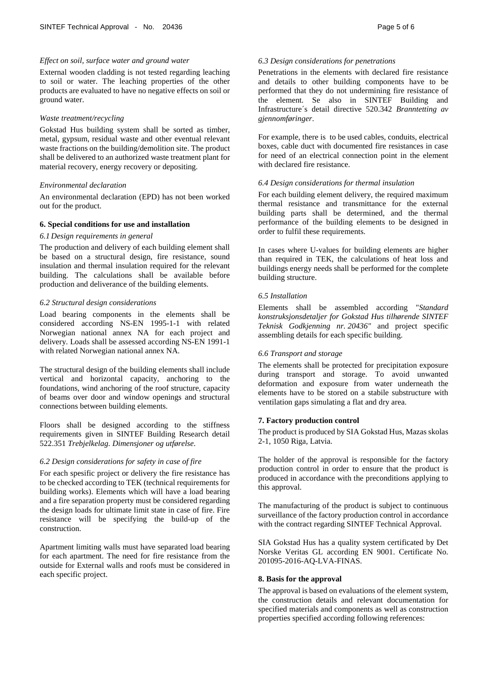#### *Effect on soil, surface water and ground water*

External wooden cladding is not tested regarding leaching to soil or water. The leaching properties of the other products are evaluated to have no negative effects on soil or ground water.

#### *Waste treatment/recycling*

Gokstad Hus building system shall be sorted as timber, metal, gypsum, residual waste and other eventual relevant waste fractions on the building/demolition site. The product shall be delivered to an authorized waste treatment plant for material recovery, energy recovery or depositing.

#### *Environmental declaration*

An environmental declaration (EPD) has not been worked out for the product.

#### **6. Special conditions for use and installation**

#### *6.1 Design requirements in general*

The production and delivery of each building element shall be based on a structural design, fire resistance, sound insulation and thermal insulation required for the relevant building. The calculations shall be available before production and deliverance of the building elements.

#### *6.2 Structural design considerations*

Load bearing components in the elements shall be considered according NS-EN 1995-1-1 with related Norwegian national annex NA for each project and delivery. Loads shall be assessed according NS-EN 1991-1 with related Norwegian national annex NA.

The structural design of the building elements shall include vertical and horizontal capacity, anchoring to the foundations, wind anchoring of the roof structure, capacity of beams over door and window openings and structural connections between building elements.

Floors shall be designed according to the stiffness requirements given in SINTEF Building Research detail 522.351 *Trebjelkelag. Dimensjoner og utførelse*.

# *6.2 Design considerations for safety in case of fire*

For each spesific project or delivery the fire resistance has to be checked according to TEK (technical requirements for building works). Elements which will have a load bearing and a fire separation property must be considered regarding the design loads for ultimate limit state in case of fire. Fire resistance will be specifying the build-up of the construction.

Apartment limiting walls must have separated load bearing for each apartment. The need for fire resistance from the outside for External walls and roofs must be considered in each specific project.

#### *6.3 Design considerations for penetrations*

Penetrations in the elements with declared fire resistance and details to other building components have to be performed that they do not undermining fire resistance of the element. Se also in SINTEF Building and Infrastructure´s detail directive 520.342 *Branntetting av gjennomføringer*.

For example, there is to be used cables, conduits, electrical boxes, cable duct with documented fire resistances in case for need of an electrical connection point in the element with declared fire resistance.

#### *6.4 Design considerations for thermal insulation*

For each building element delivery, the required maximum thermal resistance and transmittance for the external building parts shall be determined, and the thermal performance of the building elements to be designed in order to fulfil these requirements.

In cases where U-values for building elements are higher than required in TEK, the calculations of heat loss and buildings energy needs shall be performed for the complete building structure.

# *6.5 Installation*

Elements shall be assembled according "*Standard konstruksjonsdetaljer for Gokstad Hus tilhørende SINTEF Teknisk Godkjenning nr. 20436"* and project specific assembling details for each specific building.

#### *6.6 Transport and storage*

The elements shall be protected for precipitation exposure during transport and storage. To avoid unwanted deformation and exposure from water underneath the elements have to be stored on a stabile substructure with ventilation gaps simulating a flat and dry area.

#### **7. Factory production control**

The product is produced by SIA Gokstad Hus, Mazas skolas 2-1, 1050 Riga, Latvia.

The holder of the approval is responsible for the factory production control in order to ensure that the product is produced in accordance with the preconditions applying to this approval.

The manufacturing of the product is subject to continuous surveillance of the factory production control in accordance with the contract regarding SINTEF Technical Approval.

SIA Gokstad Hus has a quality system certificated by Det Norske Veritas GL according EN 9001. Certificate No. 201095-2016-AQ-LVA-FINAS.

#### **8. Basis for the approval**

The approval is based on evaluations of the element system, the construction details and relevant documentation for specified materials and components as well as construction properties specified according following references: